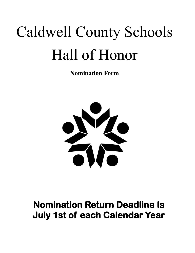## Caldwell County Schools Hall of Honor

**Nomination Form**



## **Nomination Return Deadline Is July 1st of each Calendar Year**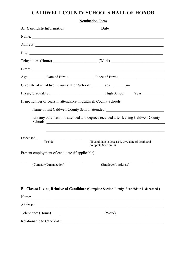## **CALDWELL COUNTY SCHOOLS HALL OF HONOR**

| Nomination Form                                                   |                                                                                                                                                                        |  |
|-------------------------------------------------------------------|------------------------------------------------------------------------------------------------------------------------------------------------------------------------|--|
| A. Candidate Information                                          |                                                                                                                                                                        |  |
|                                                                   |                                                                                                                                                                        |  |
|                                                                   |                                                                                                                                                                        |  |
|                                                                   |                                                                                                                                                                        |  |
|                                                                   |                                                                                                                                                                        |  |
|                                                                   |                                                                                                                                                                        |  |
|                                                                   | Age: Date of Birth: Place of Birth: Place of Birth:                                                                                                                    |  |
| Graduate of a Caldwell County High School? _______ yes _______ no |                                                                                                                                                                        |  |
|                                                                   |                                                                                                                                                                        |  |
|                                                                   | If no, number of years in attendance in Caldwell County Schools: ________________                                                                                      |  |
|                                                                   | Name of last Caldwell County School attended: __________________________________<br>List any other schools attended and degrees received after leaving Caldwell County |  |
| $\frac{1}{\text{Decased:}}$                                       | ,我们也不能在这里的人,我们也不能在这里的人,我们也不能在这里的人,我们也不能在这里的人,我们也不能在这里的人,我们也不能在这里的人,我们也不能在这里的人,我们<br>(If candidate is deceased, give date of death and<br>complete Section B)           |  |
|                                                                   | Present employment of candidate (if applicable): _______________________________                                                                                       |  |
| (Company/Organization)                                            | (Employer's Address)                                                                                                                                                   |  |
|                                                                   | B. Closest Living Relative of Candidate (Complete Section B only if candidate is deceased.)<br>Name:                                                                   |  |
|                                                                   |                                                                                                                                                                        |  |
|                                                                   |                                                                                                                                                                        |  |
|                                                                   |                                                                                                                                                                        |  |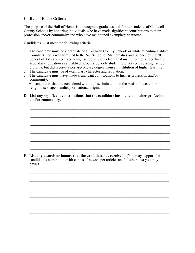## **C. Hall of Honor Criteria**

The purpose of the Hall of Honor is to recognize graduates and former students of Caldwell County Schools by honoring individuals who have made significant contributions to their profession and/or community and who have maintained exemplary character.

Candidates must meet the following criteria:

- 1. The candidate must be a graduate of a Caldwell County School; or while attending Caldwell County Schools was admitted to the NC School of Mathematics and Science or the NC School of Arts and received a high school diploma from that institution; **or** ended his/her secondary education as a Caldwell County Schools student, did not receive a high school diploma, but did receive a post-secondary degree from an institution of higher learning.
- 2. The candidate must be of exemplary character and reputation.
- 3. The candidate must have made significant contributions to his/her profession and/or community.
- 4. All candidates shall be considered without discrimination on the basis of race, color, religion, sex, age, handicap or national origin.
- **D. List any significant contributions that the candidate has made to his/her profession and/or community.**

 $\mathcal{L}_\mathcal{L} = \mathcal{L}_\mathcal{L} = \mathcal{L}_\mathcal{L} = \mathcal{L}_\mathcal{L} = \mathcal{L}_\mathcal{L} = \mathcal{L}_\mathcal{L} = \mathcal{L}_\mathcal{L} = \mathcal{L}_\mathcal{L} = \mathcal{L}_\mathcal{L} = \mathcal{L}_\mathcal{L} = \mathcal{L}_\mathcal{L} = \mathcal{L}_\mathcal{L} = \mathcal{L}_\mathcal{L} = \mathcal{L}_\mathcal{L} = \mathcal{L}_\mathcal{L} = \mathcal{L}_\mathcal{L} = \mathcal{L}_\mathcal{L}$ 

 $\mathcal{L} = \{ \mathcal{L} = \{ \mathcal{L} \} \cup \{ \mathcal{L} \} \cup \{ \mathcal{L} \} \cup \{ \mathcal{L} \} \cup \{ \mathcal{L} \} \cup \{ \mathcal{L} \} \cup \{ \mathcal{L} \} \cup \{ \mathcal{L} \} \cup \{ \mathcal{L} \} \cup \{ \mathcal{L} \} \cup \{ \mathcal{L} \} \cup \{ \mathcal{L} \} \cup \{ \mathcal{L} \} \cup \{ \mathcal{L} \} \cup \{ \mathcal{L} \} \cup \{ \mathcal{L} \} \cup \{ \mathcal{L} \} \cup$ 

 $\mathcal{L} = \{ \mathcal{L} = \{ \mathcal{L} \} \cup \{ \mathcal{L} \} \cup \{ \mathcal{L} \} \cup \{ \mathcal{L} \} \cup \{ \mathcal{L} \} \cup \{ \mathcal{L} \} \cup \{ \mathcal{L} \} \cup \{ \mathcal{L} \} \cup \{ \mathcal{L} \} \cup \{ \mathcal{L} \} \cup \{ \mathcal{L} \} \cup \{ \mathcal{L} \} \cup \{ \mathcal{L} \} \cup \{ \mathcal{L} \} \cup \{ \mathcal{L} \} \cup \{ \mathcal{L} \} \cup \{ \mathcal{L} \} \cup$ 

 $\mathcal{L}_\mathcal{L} = \mathcal{L}_\mathcal{L} = \mathcal{L}_\mathcal{L} = \mathcal{L}_\mathcal{L} = \mathcal{L}_\mathcal{L} = \mathcal{L}_\mathcal{L} = \mathcal{L}_\mathcal{L} = \mathcal{L}_\mathcal{L} = \mathcal{L}_\mathcal{L} = \mathcal{L}_\mathcal{L} = \mathcal{L}_\mathcal{L} = \mathcal{L}_\mathcal{L} = \mathcal{L}_\mathcal{L} = \mathcal{L}_\mathcal{L} = \mathcal{L}_\mathcal{L} = \mathcal{L}_\mathcal{L} = \mathcal{L}_\mathcal{L}$ 

 $\mathcal{L}_\mathcal{L} = \mathcal{L}_\mathcal{L} = \mathcal{L}_\mathcal{L} = \mathcal{L}_\mathcal{L} = \mathcal{L}_\mathcal{L} = \mathcal{L}_\mathcal{L} = \mathcal{L}_\mathcal{L} = \mathcal{L}_\mathcal{L} = \mathcal{L}_\mathcal{L} = \mathcal{L}_\mathcal{L} = \mathcal{L}_\mathcal{L} = \mathcal{L}_\mathcal{L} = \mathcal{L}_\mathcal{L} = \mathcal{L}_\mathcal{L} = \mathcal{L}_\mathcal{L} = \mathcal{L}_\mathcal{L} = \mathcal{L}_\mathcal{L}$ 

 $\mathcal{L} = \{ \mathcal{L} = \{ \mathcal{L} \} \cup \{ \mathcal{L} \} \cup \{ \mathcal{L} \} \cup \{ \mathcal{L} \} \cup \{ \mathcal{L} \} \cup \{ \mathcal{L} \} \cup \{ \mathcal{L} \} \cup \{ \mathcal{L} \} \cup \{ \mathcal{L} \} \cup \{ \mathcal{L} \} \cup \{ \mathcal{L} \} \cup \{ \mathcal{L} \} \cup \{ \mathcal{L} \} \cup \{ \mathcal{L} \} \cup \{ \mathcal{L} \} \cup \{ \mathcal{L} \} \cup \{ \mathcal{L} \} \cup$ 

 $\mathcal{L} = \{ \mathcal{L} = \{ \mathcal{L} \} \cup \{ \mathcal{L} \} \cup \{ \mathcal{L} \} \cup \{ \mathcal{L} \} \cup \{ \mathcal{L} \} \cup \{ \mathcal{L} \} \cup \{ \mathcal{L} \} \cup \{ \mathcal{L} \} \cup \{ \mathcal{L} \} \cup \{ \mathcal{L} \} \cup \{ \mathcal{L} \} \cup \{ \mathcal{L} \} \cup \{ \mathcal{L} \} \cup \{ \mathcal{L} \} \cup \{ \mathcal{L} \} \cup \{ \mathcal{L} \} \cup \{ \mathcal{L} \} \cup$ 

 $\mathcal{L} = \frac{1}{2} \sum_{i=1}^{n} \frac{1}{2} \sum_{j=1}^{n} \frac{1}{2} \sum_{j=1}^{n} \frac{1}{2} \sum_{j=1}^{n} \frac{1}{2} \sum_{j=1}^{n} \frac{1}{2} \sum_{j=1}^{n} \frac{1}{2} \sum_{j=1}^{n} \frac{1}{2} \sum_{j=1}^{n} \frac{1}{2} \sum_{j=1}^{n} \frac{1}{2} \sum_{j=1}^{n} \frac{1}{2} \sum_{j=1}^{n} \frac{1}{2} \sum_{j=1}^{n} \frac{1}{2} \sum$ 

 $\mathcal{L}_\mathcal{L} = \mathcal{L}_\mathcal{L} = \mathcal{L}_\mathcal{L} = \mathcal{L}_\mathcal{L} = \mathcal{L}_\mathcal{L} = \mathcal{L}_\mathcal{L} = \mathcal{L}_\mathcal{L} = \mathcal{L}_\mathcal{L} = \mathcal{L}_\mathcal{L} = \mathcal{L}_\mathcal{L} = \mathcal{L}_\mathcal{L} = \mathcal{L}_\mathcal{L} = \mathcal{L}_\mathcal{L} = \mathcal{L}_\mathcal{L} = \mathcal{L}_\mathcal{L} = \mathcal{L}_\mathcal{L} = \mathcal{L}_\mathcal{L}$ 

 $\mathcal{L} = \{ \mathcal{L} = \{ \mathcal{L} \} \cup \{ \mathcal{L} \} \cup \{ \mathcal{L} \} \cup \{ \mathcal{L} \} \cup \{ \mathcal{L} \} \cup \{ \mathcal{L} \} \cup \{ \mathcal{L} \} \cup \{ \mathcal{L} \} \cup \{ \mathcal{L} \} \cup \{ \mathcal{L} \} \cup \{ \mathcal{L} \} \cup \{ \mathcal{L} \} \cup \{ \mathcal{L} \} \cup \{ \mathcal{L} \} \cup \{ \mathcal{L} \} \cup \{ \mathcal{L} \} \cup \{ \mathcal{L} \} \cup$ 

 $\mathcal{L} = \{ \mathcal{L} = \{ \mathcal{L} \} \cup \{ \mathcal{L} \} \cup \{ \mathcal{L} \} \cup \{ \mathcal{L} \} \cup \{ \mathcal{L} \} \cup \{ \mathcal{L} \} \cup \{ \mathcal{L} \} \cup \{ \mathcal{L} \} \cup \{ \mathcal{L} \} \cup \{ \mathcal{L} \} \cup \{ \mathcal{L} \} \cup \{ \mathcal{L} \} \cup \{ \mathcal{L} \} \cup \{ \mathcal{L} \} \cup \{ \mathcal{L} \} \cup \{ \mathcal{L} \} \cup \{ \mathcal{L} \} \cup$ 

 $\mathcal{L} = \{ \mathcal{L} = \{ \mathcal{L} \} \cup \{ \mathcal{L} \} \cup \{ \mathcal{L} \} \cup \{ \mathcal{L} \} \cup \{ \mathcal{L} \} \cup \{ \mathcal{L} \} \cup \{ \mathcal{L} \} \cup \{ \mathcal{L} \} \cup \{ \mathcal{L} \} \cup \{ \mathcal{L} \} \cup \{ \mathcal{L} \} \cup \{ \mathcal{L} \} \cup \{ \mathcal{L} \} \cup \{ \mathcal{L} \} \cup \{ \mathcal{L} \} \cup \{ \mathcal{L} \} \cup \{ \mathcal{L} \} \cup$ 

**E. List any awards or honors that the candidate has received.** (You may support the candidate's nomination with copies of newspaper articles and/or other data you may have.)